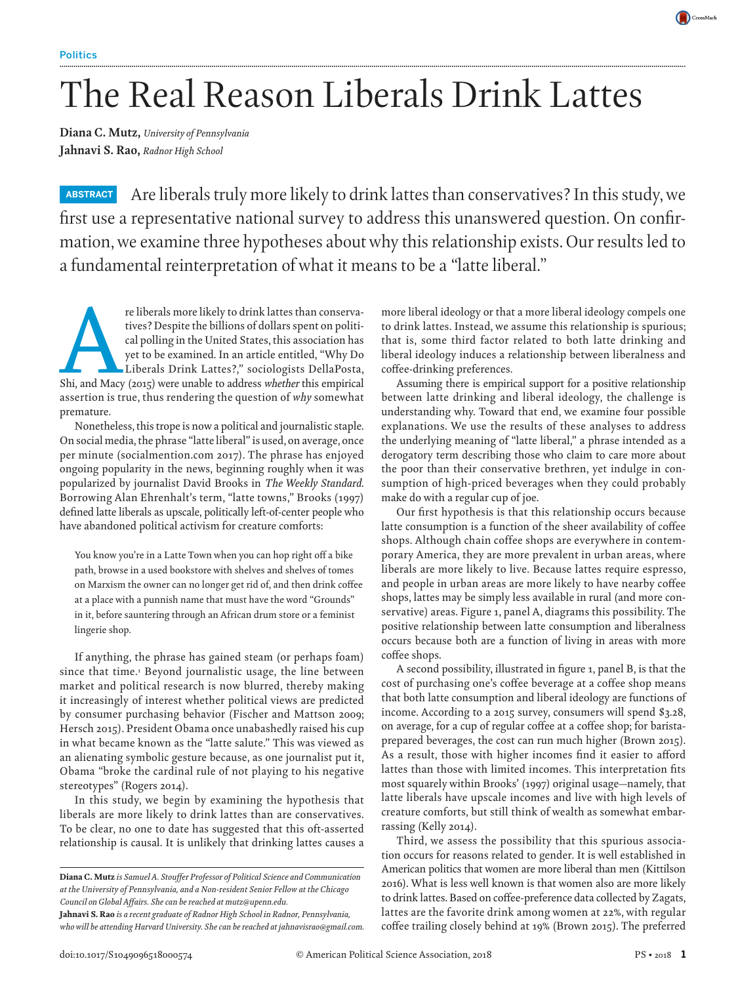

# The Real Reason Liberals Drink Lattes

**Diana C. Mutz,** *University of Pennsylvania* **Jahnavi S. Rao,** *Radnor High School*

**ABSTRACT** Are liberals truly more likely to drink lattes than conservatives? In this study, we first use a representative national survey to address this unanswered question. On confirmation, we examine three hypotheses about why this relationship exists. Our results led to a fundamental reinterpretation of what it means to be a "latte liberal."

re liberals more likely to drink lattes than conservatives? Despite the billions of dollars spent on political polling in the United States, this association has yet to be examined. In an article entitled, "Why Do Liberals tives? Despite the billions of dollars spent on political polling in the United States, this association has yet to be examined. In an article entitled, "Why Do Liberals Drink Lattes?," sociologists DellaPosta, assertion is true, thus rendering the question of *why* somewhat premature.

Nonetheless, this trope is now a political and journalistic staple. On social media, the phrase "latte liberal" is used, on average, once per minute [\(socialmention.com](http://socialmention.com) 2017). The phrase has enjoyed ongoing popularity in the news, beginning roughly when it was popularized by journalist David Brooks in *The Weekly Standard*. Borrowing Alan Ehrenhalt's term, "latte towns," Brooks (1997) defined latte liberals as upscale, politically left-of-center people who have abandoned political activism for creature comforts:

You know you're in a Latte Town when you can hop right off a bike path, browse in a used bookstore with shelves and shelves of tomes on Marxism the owner can no longer get rid of, and then drink coffee at a place with a punnish name that must have the word "Grounds" in it, before sauntering through an African drum store or a feminist lingerie shop.

If anything, the phrase has gained steam (or perhaps foam) since that time.<sup>1</sup> Beyond journalistic usage, the line between market and political research is now blurred, thereby making it increasingly of interest whether political views are predicted by consumer purchasing behavior (Fischer and Mattson 2009; Hersch 2015). President Obama once unabashedly raised his cup in what became known as the "latte salute." This was viewed as an alienating symbolic gesture because, as one journalist put it, Obama "broke the cardinal rule of not playing to his negative stereotypes" (Rogers 2014).

In this study, we begin by examining the hypothesis that liberals are more likely to drink lattes than are conservatives. To be clear, no one to date has suggested that this oft-asserted relationship is causal. It is unlikely that drinking lattes causes a

more liberal ideology or that a more liberal ideology compels one to drink lattes. Instead, we assume this relationship is spurious; that is, some third factor related to both latte drinking and liberal ideology induces a relationship between liberalness and coffee-drinking preferences.

Assuming there is empirical support for a positive relationship between latte drinking and liberal ideology, the challenge is understanding why. Toward that end, we examine four possible explanations. We use the results of these analyses to address the underlying meaning of "latte liberal," a phrase intended as a derogatory term describing those who claim to care more about the poor than their conservative brethren, yet indulge in consumption of high-priced beverages when they could probably make do with a regular cup of joe.

Our first hypothesis is that this relationship occurs because latte consumption is a function of the sheer availability of coffee shops. Although chain coffee shops are everywhere in contemporary America, they are more prevalent in urban areas, where liberals are more likely to live. Because lattes require espresso, and people in urban areas are more likely to have nearby coffee shops, lattes may be simply less available in rural (and more conservative) areas. Figure 1, panel A, diagrams this possibility. The positive relationship between latte consumption and liberalness occurs because both are a function of living in areas with more coffee shops.

A second possibility, illustrated in figure 1, panel B, is that the cost of purchasing one's coffee beverage at a coffee shop means that both latte consumption and liberal ideology are functions of income. According to a 2015 survey, consumers will spend \$3.28, on average, for a cup of regular coffee at a coffee shop; for baristaprepared beverages, the cost can run much higher (Brown 2015). As a result, those with higher incomes find it easier to afford lattes than those with limited incomes. This interpretation fits most squarely within Brooks' (1997) original usage—namely, that latte liberals have upscale incomes and live with high levels of creature comforts, but still think of wealth as somewhat embarrassing (Kelly 2014).

Third, we assess the possibility that this spurious association occurs for reasons related to gender. It is well established in American politics that women are more liberal than men (Kittilson 2016). What is less well known is that women also are more likely to drink lattes. Based on coffee-preference data collected by Zagats, lattes are the favorite drink among women at 22%, with regular coffee trailing closely behind at 19% (Brown 2015). The preferred

Diana C. Mutz *is Samuel A. Stouffer Professor of Political Science and Communication at the University of Pennsylvania, and a Non-resident Senior Fellow at the Chicago Council on Global Affairs. She can be reached at [mutz@upenn.edu](mailto:mutz@upenn.edu).*

Jahnavi S. Rao *is a recent graduate of Radnor High School in Radnor, Pennsylvania, who will be attending Harvard University. She can be reached at [jahnavisrao@gmail.com](mailto:jahnavisrao@gmail.com)*.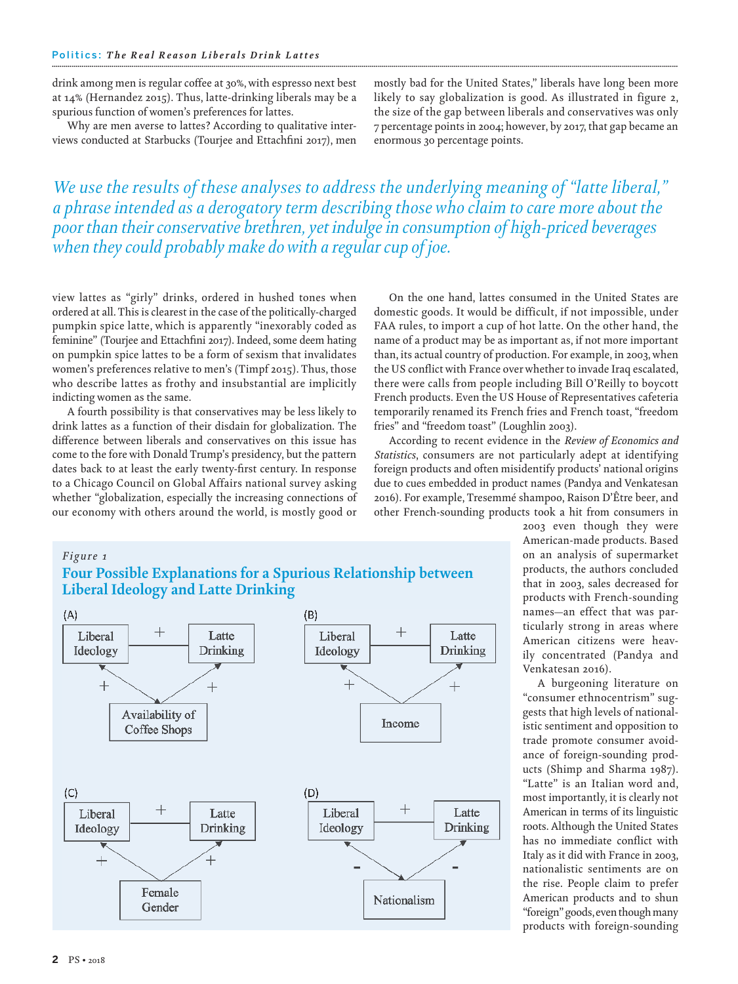drink among men is regular coffee at 30%, with espresso next best at 14% (Hernandez 2015). Thus, latte-drinking liberals may be a spurious function of women's preferences for lattes.

Why are men averse to lattes? According to qualitative interviews conducted at Starbucks (Tourjee and Ettachfini 2017), men mostly bad for the United States," liberals have long been more likely to say globalization is good. As illustrated in figure 2, the size of the gap between liberals and conservatives was only 7 percentage points in 2004; however, by 2017, that gap became an enormous 30 percentage points.

*We use the results of these analyses to address the underlying meaning of "latte liberal," a phrase intended as a derogatory term describing those who claim to care more about the poor than their conservative brethren, yet indulge in consumption of high-priced beverages when they could probably make do with a regular cup of joe.*

view lattes as "girly" drinks, ordered in hushed tones when ordered at all. This is clearest in the case of the politically-charged pumpkin spice latte, which is apparently "inexorably coded as feminine" (Tourjee and Ettachfini 2017). Indeed, some deem hating on pumpkin spice lattes to be a form of sexism that invalidates women's preferences relative to men's (Timpf 2015). Thus, those who describe lattes as frothy and insubstantial are implicitly indicting women as the same.

A fourth possibility is that conservatives may be less likely to drink lattes as a function of their disdain for globalization. The difference between liberals and conservatives on this issue has come to the fore with Donald Trump's presidency, but the pattern dates back to at least the early twenty-first century. In response to a Chicago Council on Global Affairs national survey asking whether "globalization, especially the increasing connections of our economy with others around the world, is mostly good or

On the one hand, lattes consumed in the United States are domestic goods. It would be difficult, if not impossible, under FAA rules, to import a cup of hot latte. On the other hand, the name of a product may be as important as, if not more important than, its actual country of production. For example, in 2003, when the US conflict with France over whether to invade Iraq escalated, there were calls from people including Bill O'Reilly to boycott French products. Even the US House of Representatives cafeteria temporarily renamed its French fries and French toast, "freedom fries" and "freedom toast" (Loughlin 2003).

According to recent evidence in the *Review of Economics and Statistics*, consumers are not particularly adept at identifying foreign products and often misidentify products' national origins due to cues embedded in product names (Pandya and Venkatesan 2016). For example, Tresemmé shampoo, Raison D'Être beer, and other French-sounding products took a hit from consumers in

# *Figure 1*

# **Four Possible Explanations for a Spurious Relationship between Liberal Ideology and Latte Drinking**



2003 even though they were American-made products. Based on an analysis of supermarket products, the authors concluded that in 2003, sales decreased for products with French-sounding names—an effect that was particularly strong in areas where American citizens were heavily concentrated (Pandya and Venkatesan 2016).

A burgeoning literature on "consumer ethnocentrism" suggests that high levels of nationalistic sentiment and opposition to trade promote consumer avoidance of foreign-sounding products (Shimp and Sharma 1987). "Latte" is an Italian word and, most importantly, it is clearly not American in terms of its linguistic roots. Although the United States has no immediate conflict with Italy as it did with France in 2003, nationalistic sentiments are on the rise. People claim to prefer American products and to shun "foreign" goods, even though many products with foreign-sounding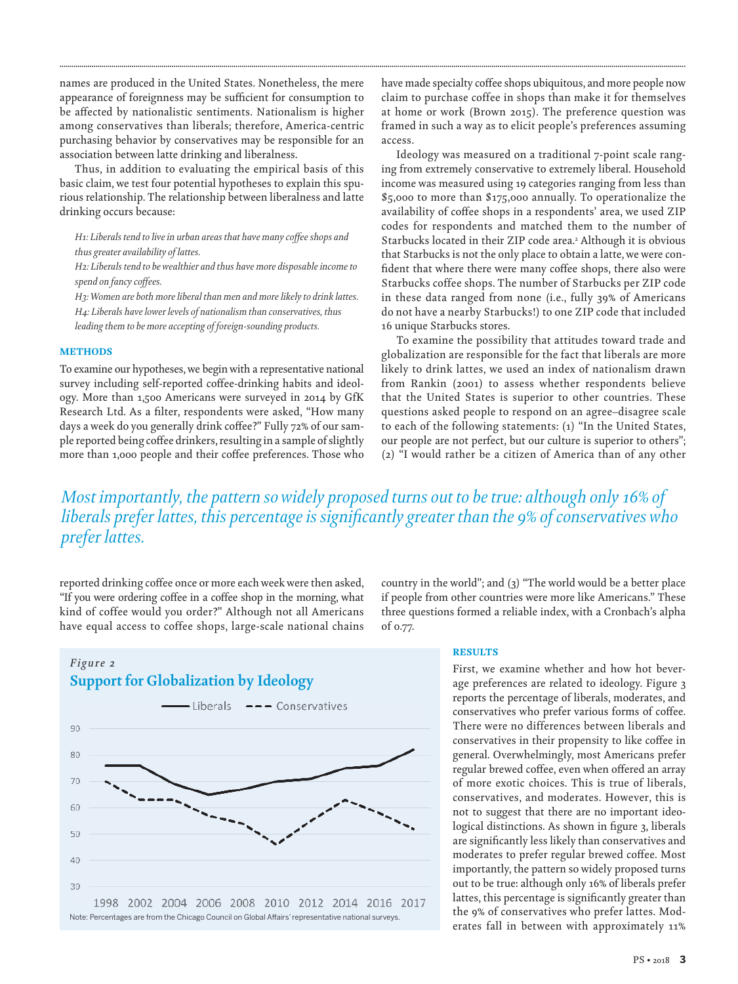names are produced in the United States. Nonetheless, the mere appearance of foreignness may be sufficient for consumption to be affected by nationalistic sentiments. Nationalism is higher among conservatives than liberals; therefore, America-centric purchasing behavior by conservatives may be responsible for an association between latte drinking and liberalness.

Thus, in addition to evaluating the empirical basis of this basic claim, we test four potential hypotheses to explain this spurious relationship. The relationship between liberalness and latte drinking occurs because:

*H1: Liberals tend to live in urban areas that have many coffee shops and thus greater availability of lattes.*

*H2: Liberals tend to be wealthier and thus have more disposable income to spend on fancy coffees.*

*H3: Women are both more liberal than men and more likely to drink lattes. H4: Liberals have lower levels of nationalism than conservatives, thus leading them to be more accepting of foreign-sounding products.*

## **METHODS**

To examine our hypotheses, we begin with a representative national survey including self-reported coffee-drinking habits and ideology. More than 1,500 Americans were surveyed in 2014 by GfK Research Ltd. As a filter, respondents were asked, "How many days a week do you generally drink coffee?" Fully 72% of our sample reported being coffee drinkers, resulting in a sample of slightly more than 1,000 people and their coffee preferences. Those who have made specialty coffee shops ubiquitous, and more people now claim to purchase coffee in shops than make it for themselves at home or work (Brown 2015). The preference question was framed in such a way as to elicit people's preferences assuming access.

Ideology was measured on a traditional 7-point scale ranging from extremely conservative to extremely liberal. Household income was measured using 19 categories ranging from less than \$5,000 to more than \$175,000 annually. To operationalize the availability of coffee shops in a respondents' area, we used ZIP codes for respondents and matched them to the number of Starbucks located in their ZIP code area.<sup>2</sup> Although it is obvious that Starbucks is not the only place to obtain a latte, we were confident that where there were many coffee shops, there also were Starbucks coffee shops. The number of Starbucks per ZIP code in these data ranged from none (i.e., fully 39% of Americans do not have a nearby Starbucks!) to one ZIP code that included 16 unique Starbucks stores.

To examine the possibility that attitudes toward trade and globalization are responsible for the fact that liberals are more likely to drink lattes, we used an index of nationalism drawn from Rankin (2001) to assess whether respondents believe that the United States is superior to other countries. These questions asked people to respond on an agree–disagree scale to each of the following statements: (1) "In the United States, our people are not perfect, but our culture is superior to others"; (2) "I would rather be a citizen of America than of any other

*Most importantly, the pattern so widely proposed turns out to be true: although only 16% of liberals prefer lattes, this percentage is significantly greater than the 9% of conservatives who prefer lattes.*

**.........................................................................................................................................................................................................................................................................................................................**

reported drinking coffee once or more each week were then asked, "If you were ordering coffee in a coffee shop in the morning, what kind of coffee would you order?" Although not all Americans have equal access to coffee shops, large-scale national chains

country in the world"; and (3) "The world would be a better place if people from other countries were more like Americans." These three questions formed a reliable index, with a Cronbach's alpha of 0.77.



#### **RESULTS**

First, we examine whether and how hot beverage preferences are related to ideology. Figure 3 reports the percentage of liberals, moderates, and conservatives who prefer various forms of coffee. There were no differences between liberals and conservatives in their propensity to like coffee in general. Overwhelmingly, most Americans prefer regular brewed coffee, even when offered an array of more exotic choices. This is true of liberals, conservatives, and moderates. However, this is not to suggest that there are no important ideological distinctions. As shown in figure 3, liberals are significantly less likely than conservatives and moderates to prefer regular brewed coffee. Most importantly, the pattern so widely proposed turns out to be true: although only 16% of liberals prefer lattes, this percentage is significantly greater than the 9% of conservatives who prefer lattes. Moderates fall in between with approximately 11%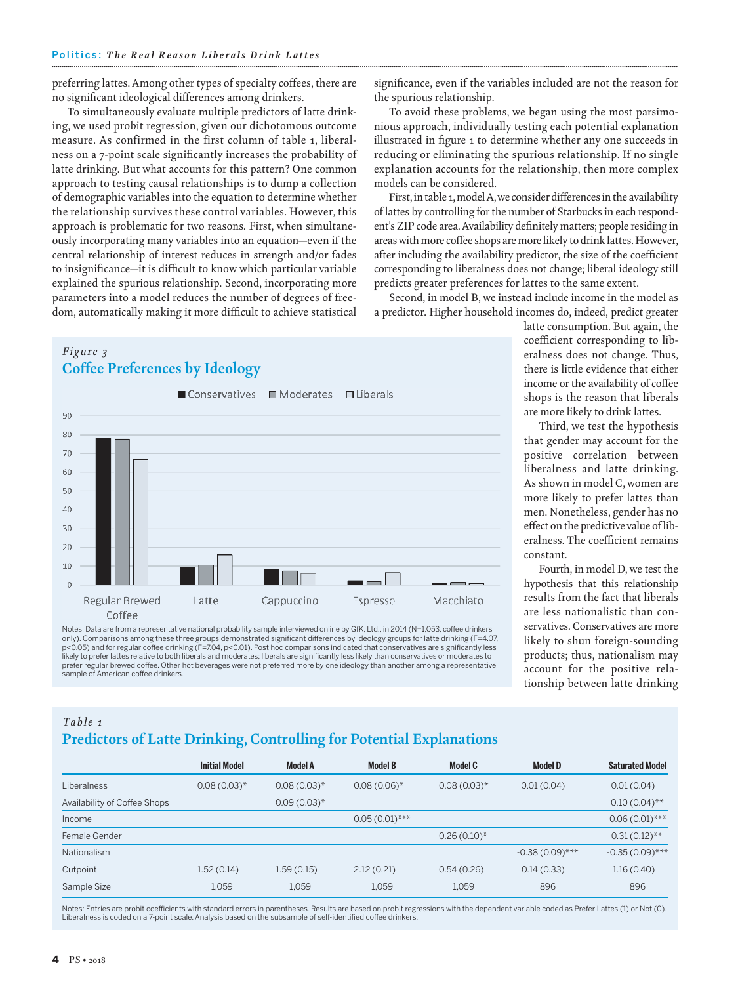preferring lattes. Among other types of specialty coffees, there are no significant ideological differences among drinkers.

To simultaneously evaluate multiple predictors of latte drinking, we used probit regression, given our dichotomous outcome measure. As confirmed in the first column of table 1, liberalness on a 7-point scale significantly increases the probability of latte drinking. But what accounts for this pattern? One common approach to testing causal relationships is to dump a collection of demographic variables into the equation to determine whether the relationship survives these control variables. However, this approach is problematic for two reasons. First, when simultaneously incorporating many variables into an equation—even if the central relationship of interest reduces in strength and/or fades to insignificance—it is difficult to know which particular variable explained the spurious relationship. Second, incorporating more parameters into a model reduces the number of degrees of freedom, automatically making it more difficult to achieve statistical

*Figure 3* **Coffee Preferences by Ideology**



Notes: Data are from a representative national probability sample interviewed online by GfK, Ltd., in 2014 (N=1,053, coffee drinkers only). Comparisons among these three groups demonstrated significant differences by ideology groups for latte drinking (F=4.07, p<0.05) and for regular coffee drinking (F=7.04, p<0.01). Post hoc comparisons indicated that conservatives are significantly less<br>likely to prefer lattes relative to both liberals and moderates; liberals are significantl prefer regular brewed coffee. Other hot beverages were not preferred more by one ideology than another among a representative sample of American coffee drinkers.

significance, even if the variables included are not the reason for the spurious relationship.

To avoid these problems, we began using the most parsimonious approach, individually testing each potential explanation illustrated in figure 1 to determine whether any one succeeds in reducing or eliminating the spurious relationship. If no single explanation accounts for the relationship, then more complex models can be considered.

First, in table 1, model A, we consider differences in the availability of lattes by controlling for the number of Starbucks in each respondent's ZIP code area. Availability definitely matters; people residing in areas with more coffee shops are more likely to drink lattes. However, after including the availability predictor, the size of the coefficient corresponding to liberalness does not change; liberal ideology still predicts greater preferences for lattes to the same extent.

Second, in model B, we instead include income in the model as a predictor. Higher household incomes do, indeed, predict greater

> latte consumption. But again, the coefficient corresponding to liberalness does not change. Thus, there is little evidence that either income or the availability of coffee shops is the reason that liberals are more likely to drink lattes.

> Third, we test the hypothesis that gender may account for the positive correlation between liberalness and latte drinking. As shown in model C, women are more likely to prefer lattes than men. Nonetheless, gender has no effect on the predictive value of liberalness. The coefficient remains constant.

> Fourth, in model D, we test the hypothesis that this relationship results from the fact that liberals are less nationalistic than conservatives. Conservatives are more likely to shun foreign-sounding products; thus, nationalism may account for the positive relationship between latte drinking

# *Table 1* **Predictors of Latte Drinking, Controlling for Potential Explanations**

|                              | <b>Initial Model</b> | <b>Model A</b> | <b>Model B</b>   | <b>Model C</b> | Model D           | <b>Saturated Model</b> |
|------------------------------|----------------------|----------------|------------------|----------------|-------------------|------------------------|
| Liberalness                  | $0.08(0.03)$ *       | $0.08(0.03)$ * | $0.08(0.06)$ *   | $0.08(0.03)$ * | 0.01(0.04)        | 0.01(0.04)             |
| Availability of Coffee Shops |                      | $0.09(0.03)$ * |                  |                |                   | $0.10(0.04)$ **        |
| Income                       |                      |                | $0.05(0.01)$ *** |                |                   | $0.06(0.01)$ ***       |
| Female Gender                |                      |                |                  | $0.26(0.10)$ * |                   | $0.31(0.12)$ **        |
| <b>Nationalism</b>           |                      |                |                  |                | $-0.38(0.09)$ *** | $-0.35(0.09)$ ***      |
| Cutpoint                     | 1.52(0.14)           | 1.59(0.15)     | 2.12(0.21)       | 0.54(0.26)     | 0.14(0.33)        | 1.16(0.40)             |
| Sample Size                  | 1.059                | 1.059          | 1.059            | 1.059          | 896               | 896                    |

Notes: Entries are probit coefficients with standard errors in parentheses. Results are based on probit regressions with the dependent variable coded as Prefer Lattes (1) or Not (0). Liberalness is coded on a 7-point scale. Analysis based on the subsample of self-identified coffee drinker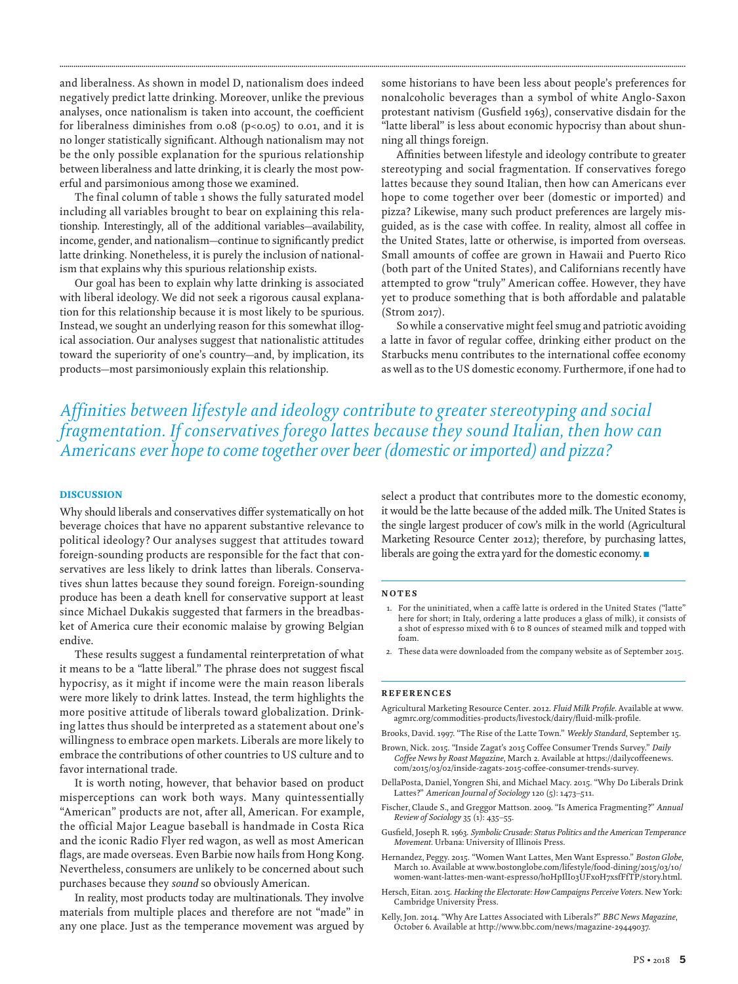and liberalness. As shown in model D, nationalism does indeed negatively predict latte drinking. Moreover, unlike the previous analyses, once nationalism is taken into account, the coefficient for liberalness diminishes from  $0.08$  ( $p<0.05$ ) to  $0.01$ , and it is no longer statistically significant. Although nationalism may not be the only possible explanation for the spurious relationship between liberalness and latte drinking, it is clearly the most powerful and parsimonious among those we examined.

The final column of table 1 shows the fully saturated model including all variables brought to bear on explaining this relationship. Interestingly, all of the additional variables—availability, income, gender, and nationalism—continue to significantly predict latte drinking. Nonetheless, it is purely the inclusion of nationalism that explains why this spurious relationship exists.

Our goal has been to explain why latte drinking is associated with liberal ideology. We did not seek a rigorous causal explanation for this relationship because it is most likely to be spurious. Instead, we sought an underlying reason for this somewhat illogical association. Our analyses suggest that nationalistic attitudes toward the superiority of one's country—and, by implication, its products—most parsimoniously explain this relationship.

some historians to have been less about people's preferences for nonalcoholic beverages than a symbol of white Anglo-Saxon protestant nativism (Gusfield 1963), conservative disdain for the "latte liberal" is less about economic hypocrisy than about shunning all things foreign.

Affinities between lifestyle and ideology contribute to greater stereotyping and social fragmentation. If conservatives forego lattes because they sound Italian, then how can Americans ever hope to come together over beer (domestic or imported) and pizza? Likewise, many such product preferences are largely misguided, as is the case with coffee. In reality, almost all coffee in the United States, latte or otherwise, is imported from overseas. Small amounts of coffee are grown in Hawaii and Puerto Rico (both part of the United States), and Californians recently have attempted to grow "truly" American coffee. However, they have yet to produce something that is both affordable and palatable (Strom 2017).

So while a conservative might feel smug and patriotic avoiding a latte in favor of regular coffee, drinking either product on the Starbucks menu contributes to the international coffee economy as well as to the US domestic economy. Furthermore, if one had to

*Affinities between lifestyle and ideology contribute to greater stereotyping and social fragmentation. If conservatives forego lattes because they sound Italian, then how can Americans ever hope to come together over beer (domestic or imported) and pizza?*

**.........................................................................................................................................................................................................................................................................................................................**

## **DISCUSSION**

Why should liberals and conservatives differ systematically on hot beverage choices that have no apparent substantive relevance to political ideology? Our analyses suggest that attitudes toward foreign-sounding products are responsible for the fact that conservatives are less likely to drink lattes than liberals. Conservatives shun lattes because they sound foreign. Foreign-sounding produce has been a death knell for conservative support at least since Michael Dukakis suggested that farmers in the breadbasket of America cure their economic malaise by growing Belgian endive.

These results suggest a fundamental reinterpretation of what it means to be a "latte liberal." The phrase does not suggest fiscal hypocrisy, as it might if income were the main reason liberals were more likely to drink lattes. Instead, the term highlights the more positive attitude of liberals toward globalization. Drinking lattes thus should be interpreted as a statement about one's willingness to embrace open markets. Liberals are more likely to embrace the contributions of other countries to US culture and to favor international trade.

It is worth noting, however, that behavior based on product misperceptions can work both ways. Many quintessentially "American" products are not, after all, American. For example, the official Major League baseball is handmade in Costa Rica and the iconic Radio Flyer red wagon, as well as most American flags, are made overseas. Even Barbie now hails from Hong Kong. Nevertheless, consumers are unlikely to be concerned about such purchases because they *sound* so obviously American.

In reality, most products today are multinationals. They involve materials from multiple places and therefore are not "made" in any one place. Just as the temperance movement was argued by select a product that contributes more to the domestic economy, it would be the latte because of the added milk. The United States is the single largest producer of cow's milk in the world (Agricultural Marketing Resource Center 2012); therefore, by purchasing lattes, liberals are going the extra yard for the domestic economy. $\blacksquare$ 

#### NOTES

- 1. For the uninitiated, when a caffè latte is ordered in the United States ("latte" here for short; in Italy, ordering a latte produces a glass of milk), it consists of a shot of espresso mixed with 6 to 8 ounces of steamed milk and topped with foam.
- 2. These data were downloaded from the company website as of September 2015.

## **REFERENCES**

- Agricultural Marketing Resource Center. 2012. *Fluid Milk Profile*. Available at [www.](http://www.agmrc.org/commodities-products/livestock/dairy/fluid-milk-profile) [agmrc.org/commodities-products/livestock/dairy/fluid-milk-profile](http://www.agmrc.org/commodities-products/livestock/dairy/fluid-milk-profile).
- Brooks, David. 1997. "The Rise of the Latte Town." *Weekly Standard*, September 15.
- Brown, Nick. 2015. "Inside Zagat's 2015 Coffee Consumer Trends Survey." *Daily Coffee News by Roast Magazine*, March 2. Available at [https://dailycoffeenews.](https://dailycoffeenews.com/2015/03/02/inside-zagats-2015-coffee-consumer-trends-survey) [com/2015/03/02/inside-zagats-2015-coffee-consumer-trends-survey.](https://dailycoffeenews.com/2015/03/02/inside-zagats-2015-coffee-consumer-trends-survey)
- DellaPosta, Daniel, Yongren Shi, and Michael Macy. 2015. "Why Do Liberals Drink Lattes?" *American Journal of Sociology* 120 (5): 1473–511.
- Fischer, Claude S., and Greggor Mattson. 2009. "Is America Fragmenting?" *Annual Review of Sociology* 35 (1): 435–55.
- Gusfield, Joseph R. 1963. *Symbolic Crusade: Status Politics and the American Temperance Movement*. Urbana: University of Illinois Press.
- Hernandez, Peggy. 2015. "Women Want Lattes, Men Want Espresso." *Boston Globe*, March 10. Available at [www.bostonglobe.com/lifestyle/food-dining/2015/03/10/](http://www.bostonglobe.com/lifestyle/food-dining/2015/03/10/women-want-lattes-men-want-espresso/hoHpIlI03UFxoH7xsfFfTP/story.html) [women-want-lattes-men-want-espresso/hoHpIlI03UFxoH7xsfFfTP/story.html.](http://www.bostonglobe.com/lifestyle/food-dining/2015/03/10/women-want-lattes-men-want-espresso/hoHpIlI03UFxoH7xsfFfTP/story.html)
- Hersch, Eitan. 2015. *Hacking the Electorate: How Campaigns Perceive Voters*. New York: Cambridge University Press.
- Kelly, Jon. 2014. "Why Are Lattes Associated with Liberals?" *BBC News Magazine*, October 6. Available at [http://www.bbc.com/news/magazine-29449037.](http://www.bbc.com/news/magazine-29449037)